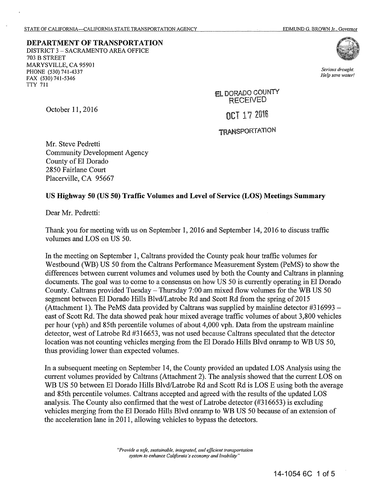DEPARTMENT OF TRANSPORTATION DISTRICT 3 - SACRAMENTO AREA OFFICE 703 B STREET MARYSVILLE, CA 95901 PHONE (530) 741-4337 FAX (530) 741-5346 TTY 711



*Serious drought. Help save water!* 

EL DORADO COUNTY<br>RECEIVED

OCT 17 2016

## **TRANSPORTATION**

Mr. Steve Pedretti Community Development Agency County of El Dorado 2850 Fairlane Court Placerville, CA 95667

## **US Highway 50 (US 50) Traffic Volumes and Level of Service (LOS) Meetings Summary**

Dear Mr. Pedretti:

October 11, 2016

Thank you for meeting with us on September 1, 2016 and September 14, 2016 to discuss traffic volumes and LOS on US 50.

In the meeting on September 1, Caltrans provided the County peak hour traffic volumes for Westbound (WB) US 50 from the Caltrans Performance Measurement System (PeMS) to show the differences between current volumes and volumes used by both the County and Caltrans in planning documents. The goal was to come to a consensus on how US 50 is currently operating in El Dorado County. Caltrans provided Tuesday- Thursday 7:00 am mixed flow volumes for the WB US 50 segment between El Dorado Hills Blvd/Latrobe Rd and Scott Rd from the spring of 2015 (Attachment 1). The PeMS data provided by Caltrans was supplied by mainline detector #316993 east of Scott Rd. The data showed peak hour mixed average traffic volumes of about 3,800 vehicles per hour (vph) and 85th percentile volumes of about 4,000 vph. Data from the upstream mainline detector, west of Latrobe Rd #316653, was not used because Caltrans speculated that the detector location was not counting vehicles merging from the El Dorado Hills Blvd onramp to WB US 50, thus providing lower than expected volumes.

In a subsequent meeting on September 14, the County provided an updated LOS Analysis using the current volumes provided by Caltrans (Attachment 2). The analysis showed that the current LOS on WB US 50 between El Dorado Hills Blvd/Latrobe Rd and Scott Rd is LOS E using both the average and 85th percentile volumes. Caltrans accepted and agreed with the results of the updated LOS analysis. The County also confirmed that the west of Latrobe detector  $(\#316653)$  is excluding vehicles merging from the El Dorado Hills Blvd onramp to WB US 50 because of an extension of the acceleration lane in 2011, allowing vehicles to bypass the detectors.

> *"Provide a safe, sustainable, integrated, and efficient transportation system to enhance California's economy and livability"*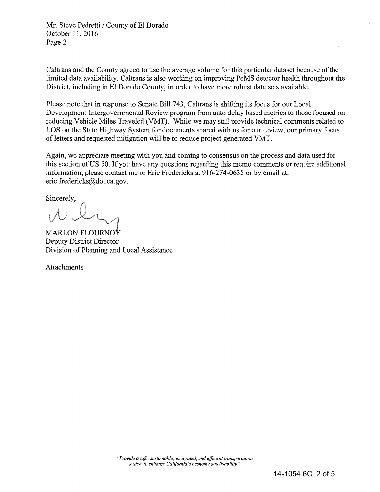Mr. Steve Pedretti / County of El Dorado October 11, 2016 Page 2

Caltrans and the County agreed to use the average volume for this particular dataset because of the limited data availability. Caltrans is also working on improving PeMS detector health throughout the District, including in El Dorado County, in order to have more robust data sets available.

Please note that in response to Senate Bill 743, Caltrans is shifting its focus for our Local Development-Intergovernmental Review program from auto delay based metrics to those focused on reducing Vehicle Miles Traveled (VMT). While we may still provide technical comments related to LOS on the State Highway System for documents shared with us for our review, our primary focus of letters and requested mitigation will be to reduce project generated VMT.

Again, we appreciate meeting with you and coming to consensus on the process and data used for this section of US 50. If you have any questions regarding this memo comments or require additional information, please contact me or Eric Fredericks at 916-274-0635 or by email at: eric.fredericks@dot.ca.gov.

Sincerely,

 $\sim$   $\sim$ 

MARLON FLOURNO $\mathbf{\dot{Y}}$ Deputy District Director Division of Planning and Local Assistance

Attachments

*"Provide a safe, sustainable, integrated, and efficient transportation system to enhance California's economy and livability"*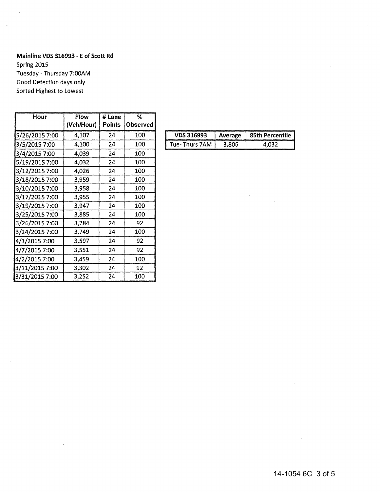## **Mainline VOS 316993 - E of Scott Rd**

Spring 2015 Tuesday - Thursday 7:00AM Good Detection days only Sorted Highest to Lowest

| Hour           | <b>Flow</b> | # Lane        | %        |
|----------------|-------------|---------------|----------|
|                | (Veh/Hour)  | <b>Points</b> | Observed |
| 5/26/2015 7:00 | 4,107       | 24            | 100      |
| 3/5/2015 7:00  | 4,100       | 24            | 100      |
| 3/4/2015 7:00  | 4,039       | 24            | 100      |
| 5/19/2015 7:00 | 4,032       | 24            | 100      |
| 3/12/2015 7:00 | 4,026       | 24            | 100      |
| 3/18/2015 7:00 | 3,959       | 24            | 100      |
| 3/10/2015 7:00 | 3,958       | 24            | 100      |
| 3/17/2015 7:00 | 3,955       | 24            | 100      |
| 3/19/2015 7:00 | 3,947       | 24            | 100      |
| 3/25/2015 7:00 | 3,885       | 24            | 100      |
| 3/26/2015 7:00 | 3,784       | 24            | 92       |
| 3/24/2015 7:00 | 3,749       | 24            | 100      |
| 4/1/2015 7:00  | 3,597       | 24            | 92       |
| 4/7/2015 7:00  | 3,551       | 24            | 92       |
| 4/2/2015 7:00  | 3,459       | 24            | 100      |
| 3/11/2015 7:00 | 3,302       | 24            | 92       |
| 3/31/2015 7:00 | 3,252       | 24            | 100      |

| 100 | <b>VDS 316993</b> | Average | 85th Percentile |
|-----|-------------------|---------|-----------------|
| 100 | Tue- Thurs 7AM    | 3.806   |                 |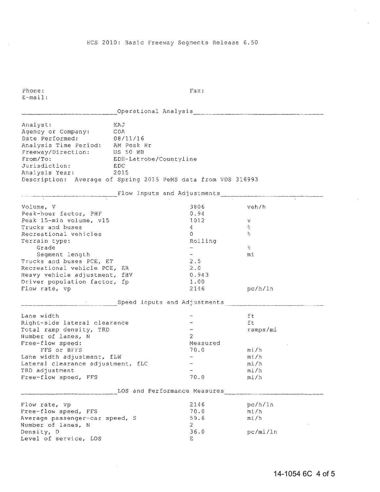Phone: Fax: E-mail:

|                                                               |                        |                              | Operational Analysis and Contract and Contract of the Contract of the Contract of the Contract of the Contract o |
|---------------------------------------------------------------|------------------------|------------------------------|------------------------------------------------------------------------------------------------------------------|
| Analyst:                                                      | KAJ                    |                              |                                                                                                                  |
| Agency or Company:                                            | CDA                    |                              |                                                                                                                  |
|                                                               |                        |                              |                                                                                                                  |
| Date Performed: 08/11/16<br>Analysis Time Period: AM Peak Hr  |                        |                              |                                                                                                                  |
| Freeway/Direction: US 50 WB                                   |                        |                              |                                                                                                                  |
| From/To:                                                      | EDH-Latrobe/Countyline |                              |                                                                                                                  |
| Jurisdiction: EDC                                             |                        |                              |                                                                                                                  |
| Analysis Year:<br>2015                                        |                        |                              |                                                                                                                  |
| Description: Average of Spring 2015 PeMS data from VDS 316993 |                        |                              |                                                                                                                  |
|                                                               |                        |                              |                                                                                                                  |
|                                                               |                        |                              |                                                                                                                  |
| Volume, V                                                     |                        | 3806                         | veh/h                                                                                                            |
| Peak-hour factor, PHF                                         |                        | 0.94                         |                                                                                                                  |
| Peak 15-min volume, v15                                       |                        | 1012                         | V                                                                                                                |
| Trucks and buses                                              |                        | 4                            | 왕                                                                                                                |
| Recreational vehicles                                         |                        | $\Omega$                     | $\mathcal{R}_\mathrm{S}$                                                                                         |
| Terrain type:                                                 |                        | Rolling                      |                                                                                                                  |
| Grade                                                         |                        |                              | $\mathcal{L}_{\mathcal{L}}$                                                                                      |
| Segment length                                                |                        |                              | mi                                                                                                               |
| Trucks and buses PCE, ET                                      |                        | 2.5                          |                                                                                                                  |
| Recreational vehicle PCE, ER                                  |                        | 2.0                          |                                                                                                                  |
| Heavy vehicle adjustment, fHV                                 |                        | 0.943                        |                                                                                                                  |
| Driver population factor, fp                                  |                        | 1.00                         |                                                                                                                  |
| Flow rate, vp                                                 |                        | 2146                         | pc/h/ln                                                                                                          |
|                                                               |                        |                              | Speed Inputs and Adjustments encounteral contracts and adjustments and adjustments and $\frac{1}{2}$             |
| Lane width                                                    |                        |                              | ft                                                                                                               |
| Right-side lateral clearance                                  |                        |                              | ft                                                                                                               |
| Total ramp density, TRD                                       |                        |                              | ramps/mi                                                                                                         |
| Number of lanes, N                                            |                        | 2                            |                                                                                                                  |
| Free-flow speed:                                              |                        | Measured                     |                                                                                                                  |
| FFS or BFFS                                                   |                        | 70.0                         | mi/h                                                                                                             |
| Lane width adjustment, fLW                                    |                        |                              | mi/h                                                                                                             |
| Lateral clearance adjustment, fLC                             |                        |                              | mi/h                                                                                                             |
| TRD adjustment                                                |                        |                              | mi/h                                                                                                             |
| Free-flow speed, FFS                                          |                        | 70.0                         | mi/h                                                                                                             |
|                                                               |                        | LOS and Performance Measures |                                                                                                                  |
|                                                               |                        |                              |                                                                                                                  |
| Flow rate, vp                                                 |                        | 2146                         | pc/h/ln                                                                                                          |
| Free-flow speed, FFS                                          |                        | 70.0                         | mi/h                                                                                                             |
| Average passenger-car speed, S                                |                        | 59.6                         | mi/h                                                                                                             |
| Number of lanes, N                                            |                        | 2.                           |                                                                                                                  |
| Density, D                                                    |                        | 36.0                         | pc/mi/ln                                                                                                         |
| Level of service, LOS                                         |                        | E.                           |                                                                                                                  |

 $\mathcal{A}^{\mathcal{A}}$ 

 $\mathcal{A}_1$ 

×.